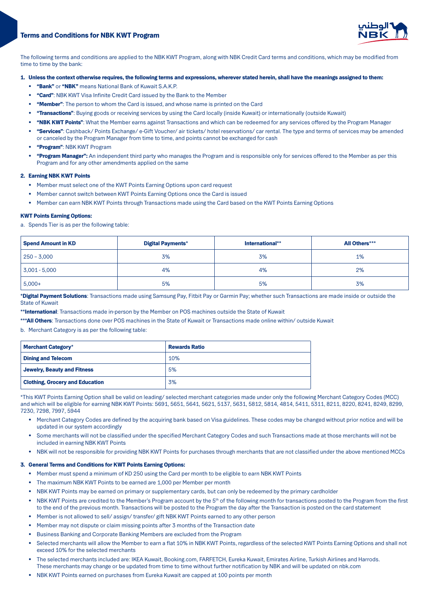# **Terms and Conditions for NBK KWT Program**



The following terms and conditions are applied to the NBK KWT Program, along with NBK Credit Card terms and conditions, which may be modified from time to time by the bank:

## 1. Unless the context otherwise requires, the following terms and expressions, wherever stated herein, shall have the meanings assigned to them:

- . "Bank" or "NBK" means National Bank of Kuwait S.A.K.P.
- "Card": NBK KWT Visa Infinite Credit Card issued by the Bank to the Member
- "Member": The person to whom the Card is issued, and whose name is printed on the Card
- "Transactions": Buying goods or receiving services by using the Card locally (inside Kuwait) or internationally (outside Kuwait)
- "NBK KWT Points": What the Member earns against Transactions and which can be redeemed for any services offered by the Program Manager
- "Services": Cashback/ Points Exchange/ e-Gift Voucher/ air tickets/ hotel reservations/ car rental. The type and terms of services may be amended or canceled by the Program Manager from time to time, and points cannot be exchanged for cash
- "Program": NBK KWT Program
- "Program Manager": An independent third party who manages the Program and is responsible only for services offered to the Member as per this Program and for any other amendments applied on the same

# 2. Earning NBK KWT Points

- Member must select one of the KWT Points Earning Options upon card request
- Member cannot switch between KWT Points Earning Options once the Card is issued
- Member can earn NBK KWT Points through Transactions made using the Card based on the KWT Points Earning Options

#### **KWT Points Earning Options:**

a. Spends Tier is as per the following table:

| <b>Spend Amount in KD</b> | <b>Digital Payments*</b> | International** | All Others*** |
|---------------------------|--------------------------|-----------------|---------------|
| $250 - 3,000$             | 3%                       | 3%              | 1%            |
| $3,001 - 5,000$           | 4%                       | 4%              | 2%            |
| $5,000+$                  | 5%                       | 5%              | 3%            |

\*Digital Payment Solutions: Transactions made using Samsung Pay. Fitbit Pay or Garmin Pay: whether such Transactions are made inside or outside the **State of Kuwait** 

\*\*International: Transactions made in-person by the Member on POS machines outside the State of Kuwait

\*\*\*All Others: Transactions done over POS machines in the State of Kuwait or Transactions made online within/ outside Kuwait

b. Merchant Category is as per the following table:

| <b>Merchant Category*</b>              | <b>Rewards Ratio</b> |
|----------------------------------------|----------------------|
| <b>Dining and Telecom</b>              | 10%                  |
| Jewelry, Beauty and Fitness            | 5%                   |
| <b>Clothing, Grocery and Education</b> | 3%                   |

\*This KWT Points Earning Option shall be valid on leading/selected merchant categories made under only the following Merchant Category Codes (MCC) and which will be eligible for earning NBK KWT Points: 5691, 5651, 5641, 5621, 5137, 5631, 5812, 5814, 4814, 5411, 5311, 8211, 8220, 8241, 8249, 8299, 7230, 7298, 7997, 5944

- Merchant Category Codes are defined by the acquiring bank based on Visa guidelines. These codes may be changed without prior notice and will be updated in our system accordingly
- Some merchants will not be classified under the specified Merchant Category Codes and such Transactions made at those merchants will not be included in earning NBK KWT Points
- NBK will not be responsible for providing NBK KWT Points for purchases through merchants that are not classified under the above mentioned MCCs

#### 3. General Terms and Conditions for KWT Points Earning Options:

- Member must spend a minimum of KD 250 using the Card per month to be eligible to earn NBK KWT Points
- The maximum NBK KWT Points to be earned are 1,000 per Member per month
- NBK KWT Points may be earned on primary or supplementary cards, but can only be redeemed by the primary cardholder
- NBK KWT Points are credited to the Member's Program account by the 5<sup>th</sup> of the following month for transactions posted to the Program from the first to the end of the previous month. Transactions will be posted to the Program the day after the Transaction is posted on the card statement
- Member is not allowed to sell/ assign/ transfer/ gift NBK KWT Points earned to any other person
- Member may not dispute or claim missing points after 3 months of the Transaction date
- Business Banking and Corporate Banking Members are excluded from the Program
- Selected merchants will allow the Member to earn a flat 10% in NBK KWT Points, regardless of the selected KWT Points Earning Options and shall not exceed 10% for the selected merchants
- The selected merchants included are: IKEA Kuwait, Booking.com, FARFETCH, Eureka Kuwait, Emirates Airline, Turkish Airlines and Harrods. These merchants may change or be updated from time to time without further notification by NBK and will be updated on nbk.com
- NBK KWT Points earned on purchases from Eureka Kuwait are capped at 100 points per month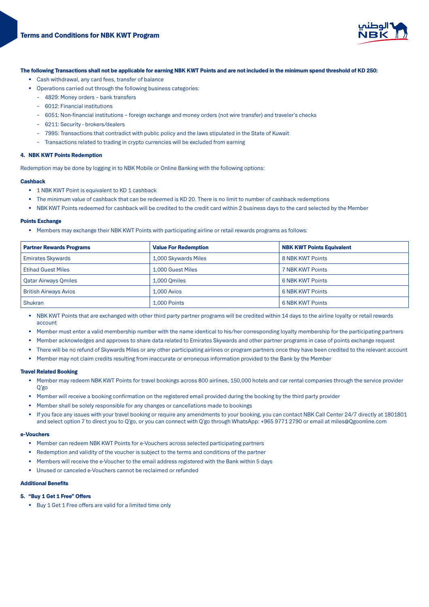

## The following Transactions shall not be applicable for earning NBK KWT Points and are not included in the minimum spend threshold of KD 250:

- Cash withdrawal, any card fees, transfer of balance
- Operations carried out through the following business categories:
	- 4829: Money orders bank transfers
	- 6012: Financial institutions
	- 6051: Non-financial institutions foreign exchange and money orders (not wire transfer) and traveler's checks
	- 6211: Security brokers/dealers
	- 7995: Transactions that contradict with public policy and the laws stipulated in the State of Kuwait
	- Transactions related to trading in crypto currencies will be excluded from earning

# 4. NBK KWT Points Redemption

Redemption may be done by logging in to NBK Mobile or Online Banking with the following options:

#### Cashback

- 1 NBK KWT Point is equivalent to KD 1 cashback
- The minimum value of cashback that can be redeemed is KD 20. There is no limit to number of cashback redemptions
- NBK KWT Points redeemed for cashback will be credited to the credit card within 2 business days to the card selected by the Member

#### **Points Exchange**

• Members may exchange their NBK KWT Points with participating airline or retail rewards programs as follows:

| <b>Partner Rewards Programs</b> | <b>Value For Redemption</b> | <b>NBK KWT Points Equivalent</b> |
|---------------------------------|-----------------------------|----------------------------------|
| <b>Emirates Skywards</b>        | 1,000 Skywards Miles        | 8 NBK KWT Points                 |
| <b>Etihad Guest Miles</b>       | 1.000 Guest Miles           | 7 NBK KWT Points                 |
| <b>Qatar Airways Qmiles</b>     | 1.000 Omiles                | <b>6 NBK KWT Points</b>          |
| British Airways Avios           | $1.000$ Avios               | 6 NBK KWT Points                 |
| <b>Shukran</b>                  | 1.000 Points                | 6 NBK KWT Points                 |

• NBK KWT Points that are exchanged with other third party partner programs will be credited within 14 days to the airline loyalty or retail rewards account

- Member must enter a valid membership number with the name identical to his/her corresponding loyalty membership for the participating partners
- Member acknowledges and approves to share data related to Emirates Skywards and other partner programs in case of points exchange request
- There will be no refund of Skywards Miles or any other participating airlines or program partners once they have been credited to the relevant account
- Member may not claim credits resulting from inaccurate or erroneous information provided to the Bank by the Member

#### **Travel Related Booking**

- Member may redeem NBK KWT Points for travel bookings across 800 airlines, 150,000 hotels and car rental companies through the service provider Q'go
- Member will receive a booking confirmation on the registered email provided during the booking by the third party provider
- Member shall be solely responsible for any changes or cancellations made to bookings
- If you face any issues with your travel booking or require any amendments to your booking, you can contact NBK Call Center 24/7 directly at 1801801 and select option 7 to direct you to Q'go, or you can connect with Q'go through WhatsApp: +965 9771 2790 or email at miles@Qgoonline.com

#### e-Vouchers

- Member can redeem NBK KWT Points for e-Vouchers across selected participating partners
- Redemption and validity of the voucher is subject to the terms and conditions of the partner
- Members will receive the e-Voucher to the email address registered with the Bank within 5 days
- Unused or canceled e-Vouchers cannot be reclaimed or refunded

# **Additional Benefits**

# 5. "Buy 1 Get 1 Free" Offers

• Buy 1 Get 1 Free offers are valid for a limited time only